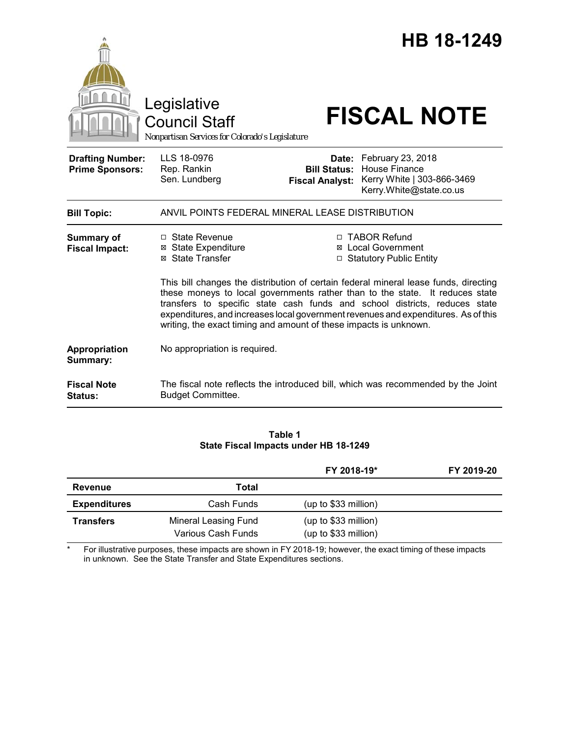|                                                   | Legislative<br><b>Council Staff</b><br>Nonpartisan Services for Colorado's Legislature                                                                                                                                                                                                                                                                                                                                                                                                                                                                       |                                                        | HB 18-1249<br><b>FISCAL NOTE</b>                                                                   |  |
|---------------------------------------------------|--------------------------------------------------------------------------------------------------------------------------------------------------------------------------------------------------------------------------------------------------------------------------------------------------------------------------------------------------------------------------------------------------------------------------------------------------------------------------------------------------------------------------------------------------------------|--------------------------------------------------------|----------------------------------------------------------------------------------------------------|--|
| <b>Drafting Number:</b><br><b>Prime Sponsors:</b> | LLS 18-0976<br>Rep. Rankin<br>Sen. Lundberg                                                                                                                                                                                                                                                                                                                                                                                                                                                                                                                  | Date:<br><b>Bill Status:</b><br><b>Fiscal Analyst:</b> | February 23, 2018<br><b>House Finance</b><br>Kerry White   303-866-3469<br>Kerry.White@state.co.us |  |
| <b>Bill Topic:</b>                                | ANVIL POINTS FEDERAL MINERAL LEASE DISTRIBUTION                                                                                                                                                                                                                                                                                                                                                                                                                                                                                                              |                                                        |                                                                                                    |  |
| <b>Summary of</b><br><b>Fiscal Impact:</b>        | □ TABOR Refund<br>$\Box$ State Revenue<br><b>⊠</b> State Expenditure<br>⊠ Local Government<br>⊠ State Transfer<br>□ Statutory Public Entity<br>This bill changes the distribution of certain federal mineral lease funds, directing<br>these moneys to local governments rather than to the state. It reduces state<br>transfers to specific state cash funds and school districts, reduces state<br>expenditures, and increases local government revenues and expenditures. As of this<br>writing, the exact timing and amount of these impacts is unknown. |                                                        |                                                                                                    |  |
| Appropriation<br>Summary:                         | No appropriation is required.                                                                                                                                                                                                                                                                                                                                                                                                                                                                                                                                |                                                        |                                                                                                    |  |
| <b>Fiscal Note</b><br><b>Status:</b>              | <b>Budget Committee.</b>                                                                                                                                                                                                                                                                                                                                                                                                                                                                                                                                     |                                                        | The fiscal note reflects the introduced bill, which was recommended by the Joint                   |  |

#### **Table 1 State Fiscal Impacts under HB 18-1249**

|                     |                                                   | FY 2018-19*                                   | FY 2019-20 |
|---------------------|---------------------------------------------------|-----------------------------------------------|------------|
| Revenue             | Total                                             |                                               |            |
| <b>Expenditures</b> | Cash Funds                                        | (up to \$33 million)                          |            |
| <b>Transfers</b>    | <b>Mineral Leasing Fund</b><br>Various Cash Funds | $(up to $33$ million)<br>(up to \$33 million) |            |

\* For illustrative purposes, these impacts are shown in FY 2018-19; however, the exact timing of these impacts in unknown. See the State Transfer and State Expenditures sections.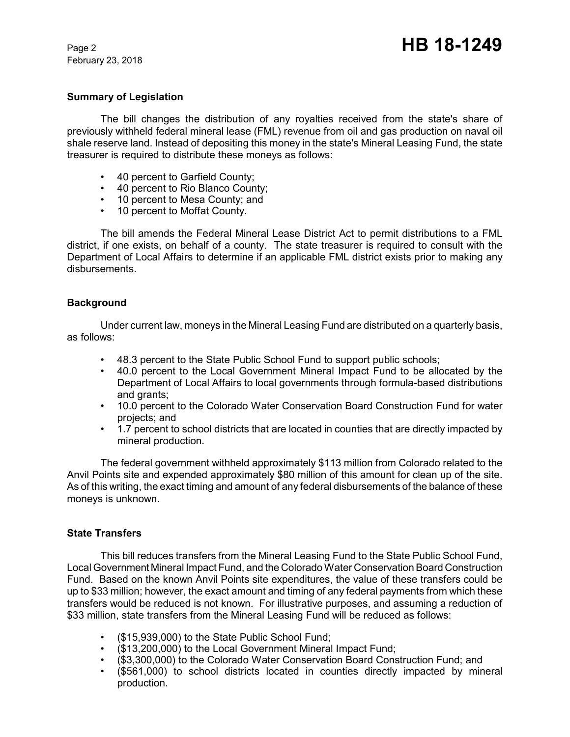February 23, 2018

# **Summary of Legislation**

The bill changes the distribution of any royalties received from the state's share of previously withheld federal mineral lease (FML) revenue from oil and gas production on naval oil shale reserve land. Instead of depositing this money in the state's Mineral Leasing Fund, the state treasurer is required to distribute these moneys as follows:

- 40 percent to Garfield County;
- 40 percent to Rio Blanco County;
- 10 percent to Mesa County; and
- 10 percent to Moffat County.

The bill amends the Federal Mineral Lease District Act to permit distributions to a FML district, if one exists, on behalf of a county. The state treasurer is required to consult with the Department of Local Affairs to determine if an applicable FML district exists prior to making any disbursements.

# **Background**

Under current law, moneys in the Mineral Leasing Fund are distributed on a quarterly basis, as follows:

- 48.3 percent to the State Public School Fund to support public schools;
- 40.0 percent to the Local Government Mineral Impact Fund to be allocated by the Department of Local Affairs to local governments through formula-based distributions and grants;
- 10.0 percent to the Colorado Water Conservation Board Construction Fund for water projects; and
- 1.7 percent to school districts that are located in counties that are directly impacted by mineral production.

The federal government withheld approximately \$113 million from Colorado related to the Anvil Points site and expended approximately \$80 million of this amount for clean up of the site. As of this writing, the exact timing and amount of any federal disbursements of the balance of these moneys is unknown.

### **State Transfers**

This bill reduces transfers from the Mineral Leasing Fund to the State Public School Fund, Local Government Mineral Impact Fund, and the Colorado Water Conservation Board Construction Fund. Based on the known Anvil Points site expenditures, the value of these transfers could be up to \$33 million; however, the exact amount and timing of any federal payments from which these transfers would be reduced is not known. For illustrative purposes, and assuming a reduction of \$33 million, state transfers from the Mineral Leasing Fund will be reduced as follows:

- (\$15,939,000) to the State Public School Fund;
- (\$13,200,000) to the Local Government Mineral Impact Fund;
- (\$3,300,000) to the Colorado Water Conservation Board Construction Fund; and
- (\$561,000) to school districts located in counties directly impacted by mineral production.